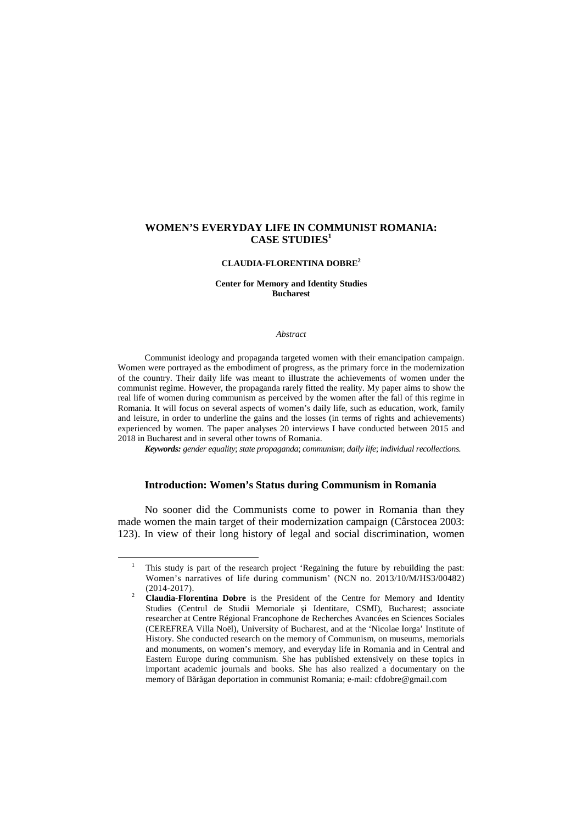# **WOMEN'S EVERYDAY LIFE IN COMMUNIST ROMANIA: CASE STUDIES<sup>1</sup>**

#### **CLAUDIA-FLORENTINA DOBRE<sup>2</sup>**

## **Center for Memory and Identity Studies Bucharest**

#### *Abstract*

Communist ideology and propaganda targeted women with their emancipation campaign. Women were portrayed as the embodiment of progress, as the primary force in the modernization of the country. Their daily life was meant to illustrate the achievements of women under the communist regime. However, the propaganda rarely fitted the reality. My paper aims to show the real life of women during communism as perceived by the women after the fall of this regime in Romania. It will focus on several aspects of women's daily life, such as education, work, family and leisure, in order to underline the gains and the losses (in terms of rights and achievements) experienced by women. The paper analyses 20 interviews I have conducted between 2015 and 2018 in Bucharest and in several other towns of Romania.

*Keywords: gender equality*; *state propaganda*; *communism*; *daily life*; *individual recollections.*

#### **Introduction: Women's Status during Communism in Romania**

No sooner did the Communists come to power in Romania than they made women the main target of their modernization campaign (Cârstocea 2003: 123). In view of their long history of legal and social discrimination, women

l

<sup>1</sup> This study is part of the research project 'Regaining the future by rebuilding the past: Women's narratives of life during communism' (NCN no. 2013/10/M/HS3/00482) (2014-2017).

<sup>&</sup>lt;sup>2</sup> **Claudia-Florentina Dobre** is the President of the Centre for Memory and Identity Studies (Centrul de Studii Memoriale şi Identitare, CSMI), Bucharest; associate researcher at Centre Régional Francophone de Recherches Avancées en Sciences Sociales (CEREFREA Villa Noël), University of Bucharest, and at the 'Nicolae Iorga' Institute of History. She conducted research on the memory of Communism, on museums, memorials and monuments, on women's memory, and everyday life in Romania and in Central and Eastern Europe during communism. She has published extensively on these topics in important academic journals and books. She has also realized a documentary on the memory of Bărăgan deportation in communist Romania; e-mail: cfdobre@gmail.com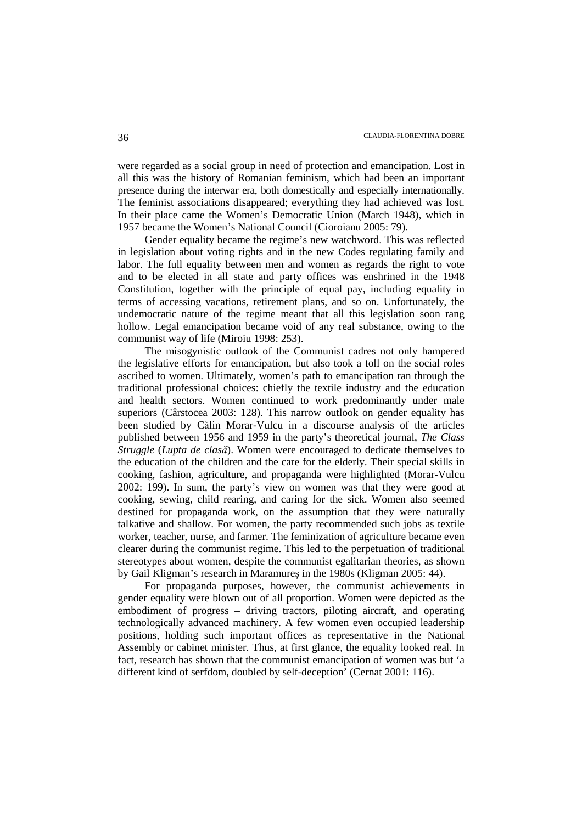were regarded as a social group in need of protection and emancipation. Lost in all this was the history of Romanian feminism, which had been an important presence during the interwar era, both domestically and especially internationally. The feminist associations disappeared; everything they had achieved was lost. In their place came the Women's Democratic Union (March 1948), which in 1957 became the Women's National Council (Cioroianu 2005: 79).

Gender equality became the regime's new watchword. This was reflected in legislation about voting rights and in the new Codes regulating family and labor. The full equality between men and women as regards the right to vote and to be elected in all state and party offices was enshrined in the 1948 Constitution, together with the principle of equal pay, including equality in terms of accessing vacations, retirement plans, and so on. Unfortunately, the undemocratic nature of the regime meant that all this legislation soon rang hollow. Legal emancipation became void of any real substance, owing to the communist way of life (Miroiu 1998: 253).

The misogynistic outlook of the Communist cadres not only hampered the legislative efforts for emancipation, but also took a toll on the social roles ascribed to women. Ultimately, women's path to emancipation ran through the traditional professional choices: chiefly the textile industry and the education and health sectors. Women continued to work predominantly under male superiors (Cârstocea 2003: 128). This narrow outlook on gender equality has been studied by Călin Morar-Vulcu in a discourse analysis of the articles published between 1956 and 1959 in the party's theoretical journal, *The Class Struggle* (*Lupta de clasă*). Women were encouraged to dedicate themselves to the education of the children and the care for the elderly. Their special skills in cooking, fashion, agriculture, and propaganda were highlighted (Morar-Vulcu 2002: 199). In sum, the party's view on women was that they were good at cooking, sewing, child rearing, and caring for the sick. Women also seemed destined for propaganda work, on the assumption that they were naturally talkative and shallow. For women, the party recommended such jobs as textile worker, teacher, nurse, and farmer. The feminization of agriculture became even clearer during the communist regime. This led to the perpetuation of traditional stereotypes about women, despite the communist egalitarian theories, as shown by Gail Kligman's research in Maramureş in the 1980s (Kligman 2005: 44).

For propaganda purposes, however, the communist achievements in gender equality were blown out of all proportion. Women were depicted as the embodiment of progress – driving tractors, piloting aircraft, and operating technologically advanced machinery. A few women even occupied leadership positions, holding such important offices as representative in the National Assembly or cabinet minister. Thus, at first glance, the equality looked real. In fact, research has shown that the communist emancipation of women was but 'a different kind of serfdom, doubled by self-deception' (Cernat 2001: 116).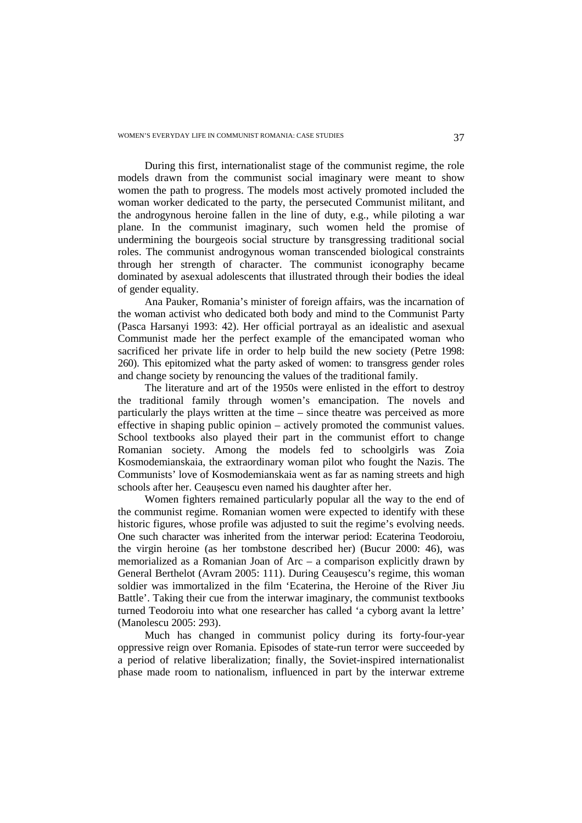During this first, internationalist stage of the communist regime, the role models drawn from the communist social imaginary were meant to show women the path to progress. The models most actively promoted included the woman worker dedicated to the party, the persecuted Communist militant, and the androgynous heroine fallen in the line of duty, e.g., while piloting a war plane. In the communist imaginary, such women held the promise of undermining the bourgeois social structure by transgressing traditional social roles. The communist androgynous woman transcended biological constraints through her strength of character. The communist iconography became dominated by asexual adolescents that illustrated through their bodies the ideal of gender equality.

Ana Pauker, Romania's minister of foreign affairs, was the incarnation of the woman activist who dedicated both body and mind to the Communist Party (Pasca Harsanyi 1993: 42). Her official portrayal as an idealistic and asexual Communist made her the perfect example of the emancipated woman who sacrificed her private life in order to help build the new society (Petre 1998: 260). This epitomized what the party asked of women: to transgress gender roles and change society by renouncing the values of the traditional family.

The literature and art of the 1950s were enlisted in the effort to destroy the traditional family through women's emancipation. The novels and particularly the plays written at the time – since theatre was perceived as more effective in shaping public opinion – actively promoted the communist values. School textbooks also played their part in the communist effort to change Romanian society. Among the models fed to schoolgirls was Zoia Kosmodemianskaia, the extraordinary woman pilot who fought the Nazis. The Communists' love of Kosmodemianskaia went as far as naming streets and high schools after her. Ceaușescu even named his daughter after her.

Women fighters remained particularly popular all the way to the end of the communist regime. Romanian women were expected to identify with these historic figures, whose profile was adjusted to suit the regime's evolving needs. One such character was inherited from the interwar period: Ecaterina Teodoroiu, the virgin heroine (as her tombstone described her) (Bucur 2000: 46), was memorialized as a Romanian Joan of Arc – a comparison explicitly drawn by General Berthelot (Avram 2005: 111). During Ceauşescu's regime, this woman soldier was immortalized in the film 'Ecaterina, the Heroine of the River Jiu Battle'. Taking their cue from the interwar imaginary, the communist textbooks turned Teodoroiu into what one researcher has called 'a cyborg avant la lettre' (Manolescu 2005: 293).

Much has changed in communist policy during its forty-four-year oppressive reign over Romania. Episodes of state-run terror were succeeded by a period of relative liberalization; finally, the Soviet-inspired internationalist phase made room to nationalism, influenced in part by the interwar extreme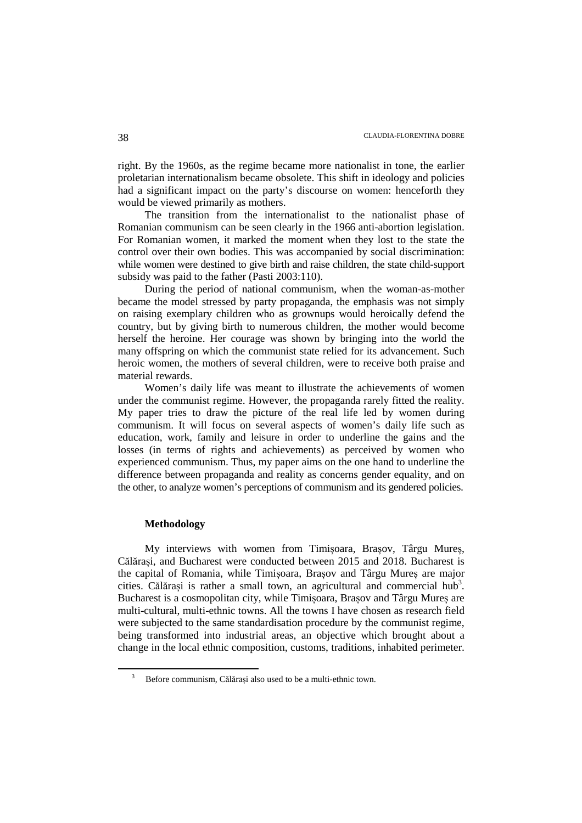right. By the 1960s, as the regime became more nationalist in tone, the earlier proletarian internationalism became obsolete. This shift in ideology and policies had a significant impact on the party's discourse on women: henceforth they would be viewed primarily as mothers.

The transition from the internationalist to the nationalist phase of Romanian communism can be seen clearly in the 1966 anti-abortion legislation. For Romanian women, it marked the moment when they lost to the state the control over their own bodies. This was accompanied by social discrimination: while women were destined to give birth and raise children, the state child-support subsidy was paid to the father (Pasti 2003:110).

During the period of national communism, when the woman-as-mother became the model stressed by party propaganda, the emphasis was not simply on raising exemplary children who as grownups would heroically defend the country, but by giving birth to numerous children, the mother would become herself the heroine. Her courage was shown by bringing into the world the many offspring on which the communist state relied for its advancement. Such heroic women, the mothers of several children, were to receive both praise and material rewards.

Women's daily life was meant to illustrate the achievements of women under the communist regime. However, the propaganda rarely fitted the reality. My paper tries to draw the picture of the real life led by women during communism. It will focus on several aspects of women's daily life such as education, work, family and leisure in order to underline the gains and the losses (in terms of rights and achievements) as perceived by women who experienced communism. Thus, my paper aims on the one hand to underline the difference between propaganda and reality as concerns gender equality, and on the other, to analyze women's perceptions of communism and its gendered policies.

# **Methodology**

 $\overline{a}$ 

My interviews with women from Timișoara, Brașov, Târgu Mureș, Călărași, and Bucharest were conducted between 2015 and 2018. Bucharest is the capital of Romania, while Timișoara, Brașov and Târgu Mureș are major cities. Călărași is rather a small town, an agricultural and commercial hub<sup>3</sup>. Bucharest is a cosmopolitan city, while Timișoara, Brașov and Târgu Mureș are multi-cultural, multi-ethnic towns. All the towns I have chosen as research field were subjected to the same standardisation procedure by the communist regime, being transformed into industrial areas, an objective which brought about a change in the local ethnic composition, customs, traditions, inhabited perimeter.

<sup>3</sup> Before communism, Călărași also used to be a multi-ethnic town.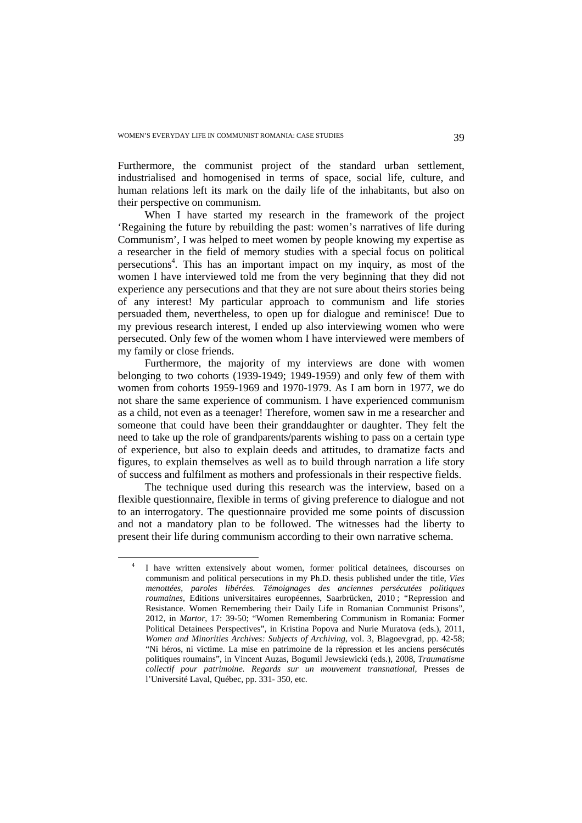Furthermore, the communist project of the standard urban settlement, industrialised and homogenised in terms of space, social life, culture, and human relations left its mark on the daily life of the inhabitants, but also on their perspective on communism.

When I have started my research in the framework of the project 'Regaining the future by rebuilding the past: women's narratives of life during Communism', I was helped to meet women by people knowing my expertise as a researcher in the field of memory studies with a special focus on political persecutions<sup>4</sup>. This has an important impact on my inquiry, as most of the women I have interviewed told me from the very beginning that they did not experience any persecutions and that they are not sure about theirs stories being of any interest! My particular approach to communism and life stories persuaded them, nevertheless, to open up for dialogue and reminisce! Due to my previous research interest, I ended up also interviewing women who were persecuted. Only few of the women whom I have interviewed were members of my family or close friends.

Furthermore, the majority of my interviews are done with women belonging to two cohorts (1939-1949; 1949-1959) and only few of them with women from cohorts 1959-1969 and 1970-1979. As I am born in 1977, we do not share the same experience of communism. I have experienced communism as a child, not even as a teenager! Therefore, women saw in me a researcher and someone that could have been their granddaughter or daughter. They felt the need to take up the role of grandparents/parents wishing to pass on a certain type of experience, but also to explain deeds and attitudes, to dramatize facts and figures, to explain themselves as well as to build through narration a life story of success and fulfilment as mothers and professionals in their respective fields.

The technique used during this research was the interview, based on a flexible questionnaire, flexible in terms of giving preference to dialogue and not to an interrogatory. The questionnaire provided me some points of discussion and not a mandatory plan to be followed. The witnesses had the liberty to present their life during communism according to their own narrative schema.

 $\overline{a}$ 

<sup>4</sup> I have written extensively about women, former political detainees, discourses on communism and political persecutions in my Ph.D. thesis published under the title, *Vies menottées, paroles libérées. Témoignages des anciennes persécutées politiques roumaines,* Editions universitaires européennes, Saarbrücken, 2010 ; "Repression and Resistance. Women Remembering their Daily Life in Romanian Communist Prisons", 2012, in *Martor*, 17: 39-50; "Women Remembering Communism in Romania: Former Political Detainees Perspectives", in Kristina Popova and Nurie Muratova (eds.), 2011, *Women and Minorities Archives: Subjects of Archiving,* vol. 3, Blagoevgrad, pp. 42-58; "Ni héros, ni victime. La mise en patrimoine de la répression et les anciens persécutés politiques roumains", in Vincent Auzas, Bogumil Jewsiewicki (eds.), 2008, *Traumatisme collectif pour patrimoine. Regards sur un mouvement transnational*, Presses de l'Université Laval, Québec, pp. 331- 350, etc.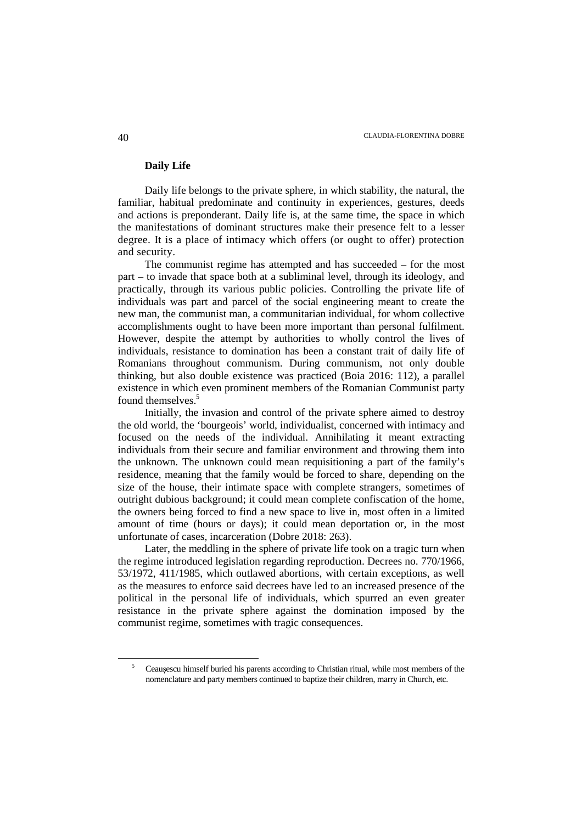# **Daily Life**

Daily life belongs to the private sphere, in which stability, the natural, the familiar, habitual predominate and continuity in experiences, gestures, deeds and actions is preponderant. Daily life is, at the same time, the space in which the manifestations of dominant structures make their presence felt to a lesser degree. It is a place of intimacy which offers (or ought to offer) protection and security.

The communist regime has attempted and has succeeded – for the most part – to invade that space both at a subliminal level, through its ideology, and practically, through its various public policies. Controlling the private life of individuals was part and parcel of the social engineering meant to create the new man, the communist man, a communitarian individual, for whom collective accomplishments ought to have been more important than personal fulfilment. However, despite the attempt by authorities to wholly control the lives of individuals, resistance to domination has been a constant trait of daily life of Romanians throughout communism. During communism, not only double thinking, but also double existence was practiced (Boia 2016: 112), a parallel existence in which even prominent members of the Romanian Communist party found themselves.<sup>5</sup>

Initially, the invasion and control of the private sphere aimed to destroy the old world, the 'bourgeois' world, individualist, concerned with intimacy and focused on the needs of the individual. Annihilating it meant extracting individuals from their secure and familiar environment and throwing them into the unknown. The unknown could mean requisitioning a part of the family's residence, meaning that the family would be forced to share, depending on the size of the house, their intimate space with complete strangers, sometimes of outright dubious background; it could mean complete confiscation of the home, the owners being forced to find a new space to live in, most often in a limited amount of time (hours or days); it could mean deportation or, in the most unfortunate of cases, incarceration (Dobre 2018: 263).

Later, the meddling in the sphere of private life took on a tragic turn when the regime introduced legislation regarding reproduction. Decrees no. 770/1966, 53/1972, 411/1985, which outlawed abortions, with certain exceptions, as well as the measures to enforce said decrees have led to an increased presence of the political in the personal life of individuals, which spurred an even greater resistance in the private sphere against the domination imposed by the communist regime, sometimes with tragic consequences.

l

<sup>5</sup> Ceaușescu himself buried his parents according to Christian ritual, while most members of the nomenclature and party members continued to baptize their children, marry in Church, etc.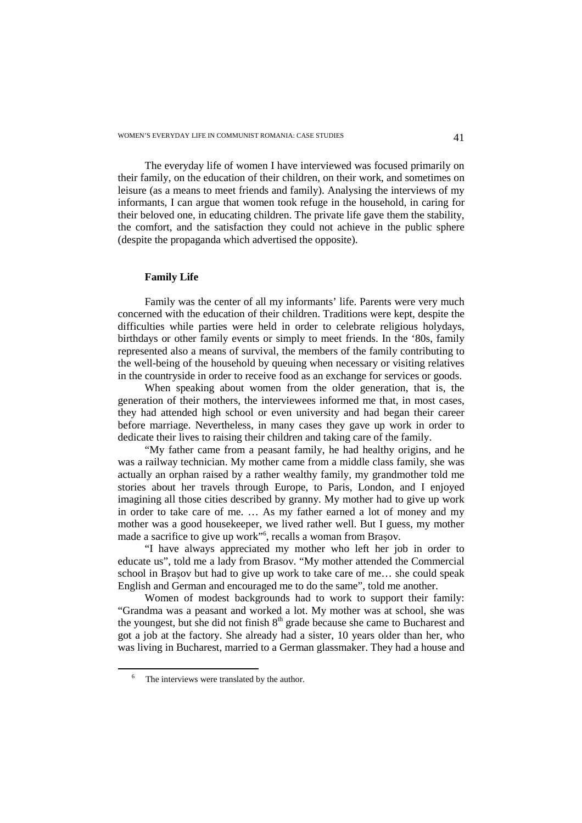The everyday life of women I have interviewed was focused primarily on their family, on the education of their children, on their work, and sometimes on leisure (as a means to meet friends and family). Analysing the interviews of my informants, I can argue that women took refuge in the household, in caring for their beloved one, in educating children. The private life gave them the stability, the comfort, and the satisfaction they could not achieve in the public sphere (despite the propaganda which advertised the opposite).

## **Family Life**

Family was the center of all my informants' life. Parents were very much concerned with the education of their children. Traditions were kept, despite the difficulties while parties were held in order to celebrate religious holydays, birthdays or other family events or simply to meet friends. In the '80s, family represented also a means of survival, the members of the family contributing to the well-being of the household by queuing when necessary or visiting relatives in the countryside in order to receive food as an exchange for services or goods.

When speaking about women from the older generation, that is, the generation of their mothers, the interviewees informed me that, in most cases, they had attended high school or even university and had began their career before marriage. Nevertheless, in many cases they gave up work in order to dedicate their lives to raising their children and taking care of the family.

"My father came from a peasant family, he had healthy origins, and he was a railway technician. My mother came from a middle class family, she was actually an orphan raised by a rather wealthy family, my grandmother told me stories about her travels through Europe, to Paris, London, and I enjoyed imagining all those cities described by granny. My mother had to give up work in order to take care of me. … As my father earned a lot of money and my mother was a good housekeeper, we lived rather well. But I guess, my mother made a sacrifice to give up work"<sup>6</sup>, recalls a woman from Brașov.

"I have always appreciated my mother who left her job in order to educate us", told me a lady from Brasov. "My mother attended the Commercial school in Braşov but had to give up work to take care of me… she could speak English and German and encouraged me to do the same", told me another.

Women of modest backgrounds had to work to support their family: "Grandma was a peasant and worked a lot. My mother was at school, she was the youngest, but she did not finish  $8<sup>th</sup>$  grade because she came to Bucharest and got a job at the factory. She already had a sister, 10 years older than her, who was living in Bucharest, married to a German glassmaker. They had a house and

 $\overline{a}$ 

<sup>6</sup> The interviews were translated by the author.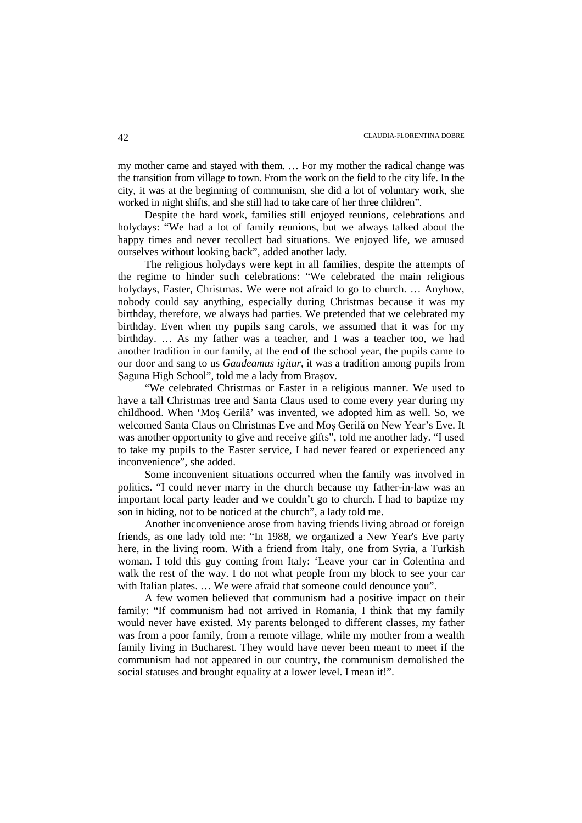my mother came and stayed with them. … For my mother the radical change was the transition from village to town. From the work on the field to the city life. In the city, it was at the beginning of communism, she did a lot of voluntary work, she worked in night shifts, and she still had to take care of her three children".

Despite the hard work, families still enjoyed reunions, celebrations and holydays: "We had a lot of family reunions, but we always talked about the happy times and never recollect bad situations. We enjoyed life, we amused ourselves without looking back", added another lady.

The religious holydays were kept in all families, despite the attempts of the regime to hinder such celebrations: "We celebrated the main religious holydays, Easter, Christmas. We were not afraid to go to church. … Anyhow, nobody could say anything, especially during Christmas because it was my birthday, therefore, we always had parties. We pretended that we celebrated my birthday. Even when my pupils sang carols, we assumed that it was for my birthday. … As my father was a teacher, and I was a teacher too, we had another tradition in our family, at the end of the school year, the pupils came to our door and sang to us *Gaudeamus igitur*, it was a tradition among pupils from Şaguna High School", told me a lady from Brașov.

"We celebrated Christmas or Easter in a religious manner. We used to have a tall Christmas tree and Santa Claus used to come every year during my childhood. When 'Moș Gerilă' was invented, we adopted him as well. So, we welcomed Santa Claus on Christmas Eve and Moș Gerilă on New Year's Eve. It was another opportunity to give and receive gifts", told me another lady. "I used to take my pupils to the Easter service, I had never feared or experienced any inconvenience", she added.

Some inconvenient situations occurred when the family was involved in politics. "I could never marry in the church because my father-in-law was an important local party leader and we couldn't go to church. I had to baptize my son in hiding, not to be noticed at the church", a lady told me.

Another inconvenience arose from having friends living abroad or foreign friends, as one lady told me: "In 1988, we organized a New Year's Eve party here, in the living room. With a friend from Italy, one from Syria, a Turkish woman. I told this guy coming from Italy: 'Leave your car in Colentina and walk the rest of the way. I do not what people from my block to see your car with Italian plates. ... We were afraid that someone could denounce you".

A few women believed that communism had a positive impact on their family: "If communism had not arrived in Romania, I think that my family would never have existed. My parents belonged to different classes, my father was from a poor family, from a remote village, while my mother from a wealth family living in Bucharest. They would have never been meant to meet if the communism had not appeared in our country, the communism demolished the social statuses and brought equality at a lower level. I mean it!".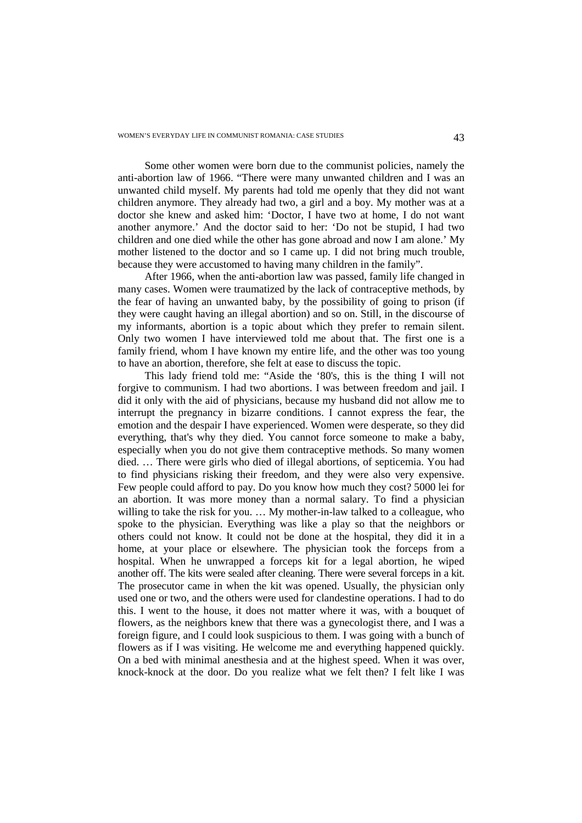Some other women were born due to the communist policies, namely the anti-abortion law of 1966. "There were many unwanted children and I was an unwanted child myself. My parents had told me openly that they did not want children anymore. They already had two, a girl and a boy. My mother was at a doctor she knew and asked him: 'Doctor, I have two at home, I do not want another anymore.' And the doctor said to her: 'Do not be stupid, I had two children and one died while the other has gone abroad and now I am alone.' My mother listened to the doctor and so I came up. I did not bring much trouble, because they were accustomed to having many children in the family".

After 1966, when the anti-abortion law was passed, family life changed in many cases. Women were traumatized by the lack of contraceptive methods, by the fear of having an unwanted baby, by the possibility of going to prison (if they were caught having an illegal abortion) and so on. Still, in the discourse of my informants, abortion is a topic about which they prefer to remain silent. Only two women I have interviewed told me about that. The first one is a family friend, whom I have known my entire life, and the other was too young to have an abortion, therefore, she felt at ease to discuss the topic.

This lady friend told me: "Aside the '80's, this is the thing I will not forgive to communism. I had two abortions. I was between freedom and jail. I did it only with the aid of physicians, because my husband did not allow me to interrupt the pregnancy in bizarre conditions. I cannot express the fear, the emotion and the despair I have experienced. Women were desperate, so they did everything, that's why they died. You cannot force someone to make a baby, especially when you do not give them contraceptive methods. So many women died. … There were girls who died of illegal abortions, of septicemia. You had to find physicians risking their freedom, and they were also very expensive. Few people could afford to pay. Do you know how much they cost? 5000 lei for an abortion. It was more money than a normal salary. To find a physician willing to take the risk for you. … My mother-in-law talked to a colleague, who spoke to the physician. Everything was like a play so that the neighbors or others could not know. It could not be done at the hospital, they did it in a home, at your place or elsewhere. The physician took the forceps from a hospital. When he unwrapped a forceps kit for a legal abortion, he wiped another off. The kits were sealed after cleaning. There were several forceps in a kit. The prosecutor came in when the kit was opened. Usually, the physician only used one or two, and the others were used for clandestine operations. I had to do this. I went to the house, it does not matter where it was, with a bouquet of flowers, as the neighbors knew that there was a gynecologist there, and I was a foreign figure, and I could look suspicious to them. I was going with a bunch of flowers as if I was visiting. He welcome me and everything happened quickly. On a bed with minimal anesthesia and at the highest speed. When it was over, knock-knock at the door. Do you realize what we felt then? I felt like I was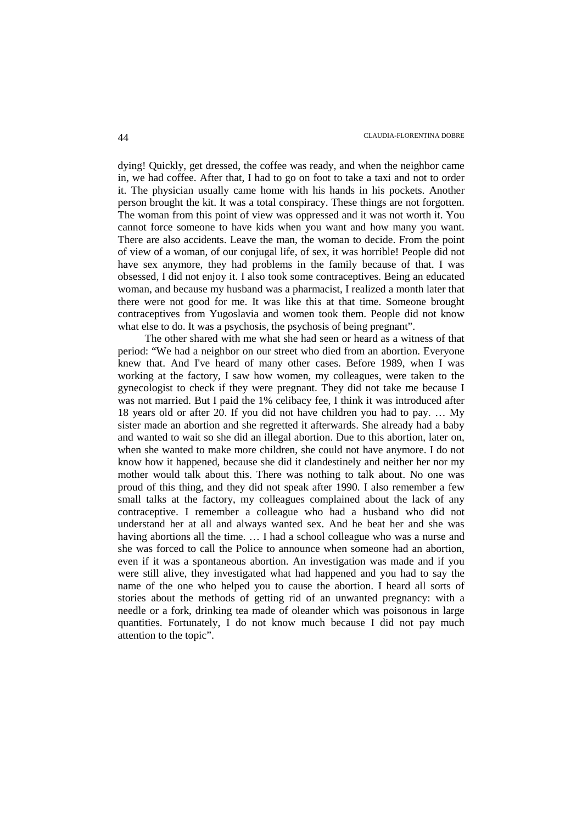dying! Quickly, get dressed, the coffee was ready, and when the neighbor came in, we had coffee. After that, I had to go on foot to take a taxi and not to order it. The physician usually came home with his hands in his pockets. Another person brought the kit. It was a total conspiracy. These things are not forgotten. The woman from this point of view was oppressed and it was not worth it. You cannot force someone to have kids when you want and how many you want. There are also accidents. Leave the man, the woman to decide. From the point of view of a woman, of our conjugal life, of sex, it was horrible! People did not have sex anymore, they had problems in the family because of that. I was obsessed, I did not enjoy it. I also took some contraceptives. Being an educated woman, and because my husband was a pharmacist, I realized a month later that there were not good for me. It was like this at that time. Someone brought contraceptives from Yugoslavia and women took them. People did not know what else to do. It was a psychosis, the psychosis of being pregnant".

The other shared with me what she had seen or heard as a witness of that period: "We had a neighbor on our street who died from an abortion. Everyone knew that. And I've heard of many other cases. Before 1989, when I was working at the factory, I saw how women, my colleagues, were taken to the gynecologist to check if they were pregnant. They did not take me because I was not married. But I paid the 1% celibacy fee, I think it was introduced after 18 years old or after 20. If you did not have children you had to pay. … My sister made an abortion and she regretted it afterwards. She already had a baby and wanted to wait so she did an illegal abortion. Due to this abortion, later on, when she wanted to make more children, she could not have anymore. I do not know how it happened, because she did it clandestinely and neither her nor my mother would talk about this. There was nothing to talk about. No one was proud of this thing, and they did not speak after 1990. I also remember a few small talks at the factory, my colleagues complained about the lack of any contraceptive. I remember a colleague who had a husband who did not understand her at all and always wanted sex. And he beat her and she was having abortions all the time. … I had a school colleague who was a nurse and she was forced to call the Police to announce when someone had an abortion, even if it was a spontaneous abortion. An investigation was made and if you were still alive, they investigated what had happened and you had to say the name of the one who helped you to cause the abortion. I heard all sorts of stories about the methods of getting rid of an unwanted pregnancy: with a needle or a fork, drinking tea made of oleander which was poisonous in large quantities. Fortunately, I do not know much because I did not pay much attention to the topic".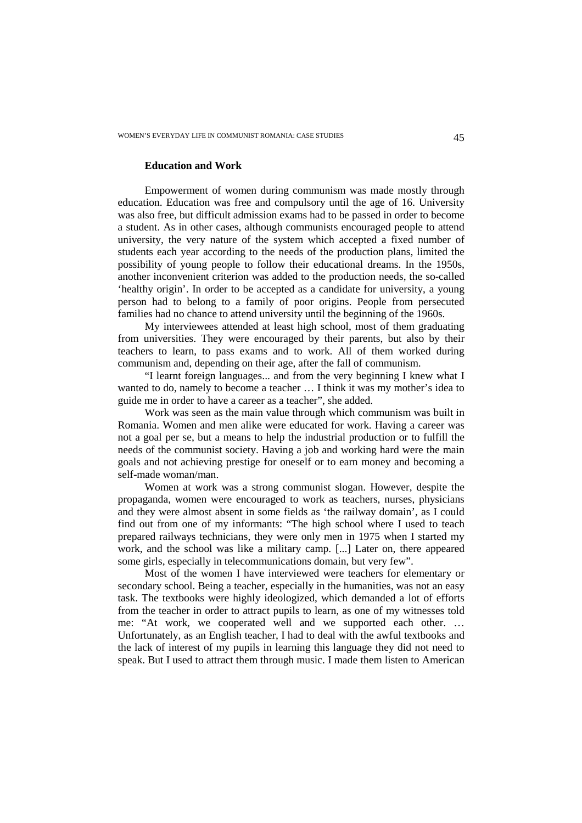## **Education and Work**

Empowerment of women during communism was made mostly through education. Education was free and compulsory until the age of 16. University was also free, but difficult admission exams had to be passed in order to become a student. As in other cases, although communists encouraged people to attend university, the very nature of the system which accepted a fixed number of students each year according to the needs of the production plans, limited the possibility of young people to follow their educational dreams. In the 1950s, another inconvenient criterion was added to the production needs, the so-called 'healthy origin'. In order to be accepted as a candidate for university, a young person had to belong to a family of poor origins. People from persecuted families had no chance to attend university until the beginning of the 1960s.

My interviewees attended at least high school, most of them graduating from universities. They were encouraged by their parents, but also by their teachers to learn, to pass exams and to work. All of them worked during communism and, depending on their age, after the fall of communism.

"I learnt foreign languages... and from the very beginning I knew what I wanted to do, namely to become a teacher … I think it was my mother's idea to guide me in order to have a career as a teacher", she added.

Work was seen as the main value through which communism was built in Romania. Women and men alike were educated for work. Having a career was not a goal per se, but a means to help the industrial production or to fulfill the needs of the communist society. Having a job and working hard were the main goals and not achieving prestige for oneself or to earn money and becoming a self-made woman/man.

Women at work was a strong communist slogan. However, despite the propaganda, women were encouraged to work as teachers, nurses, physicians and they were almost absent in some fields as 'the railway domain', as I could find out from one of my informants: "The high school where I used to teach prepared railways technicians, they were only men in 1975 when I started my work, and the school was like a military camp. [...] Later on, there appeared some girls, especially in telecommunications domain, but very few".

Most of the women I have interviewed were teachers for elementary or secondary school. Being a teacher, especially in the humanities, was not an easy task. The textbooks were highly ideologized, which demanded a lot of efforts from the teacher in order to attract pupils to learn, as one of my witnesses told me: "At work, we cooperated well and we supported each other. … Unfortunately, as an English teacher, I had to deal with the awful textbooks and the lack of interest of my pupils in learning this language they did not need to speak. But I used to attract them through music. I made them listen to American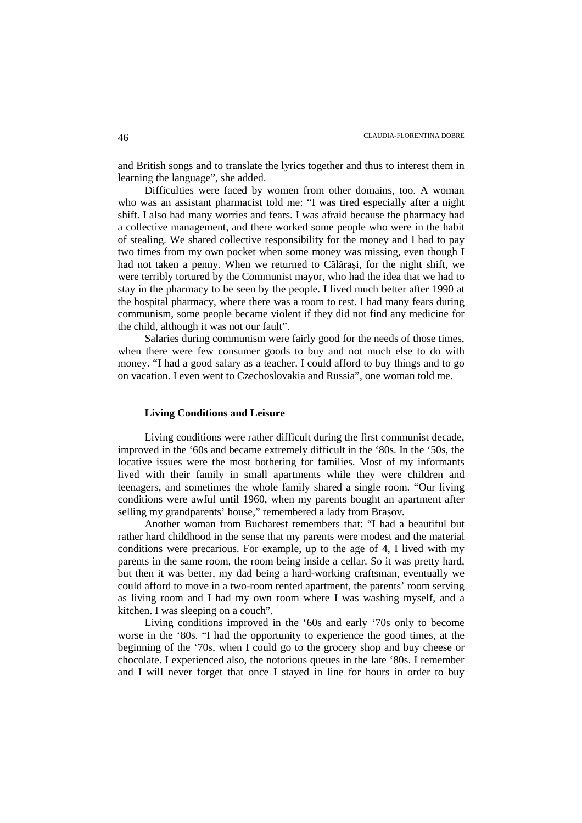and British songs and to translate the lyrics together and thus to interest them in learning the language", she added.

Difficulties were faced by women from other domains, too. A woman who was an assistant pharmacist told me: "I was tired especially after a night shift. I also had many worries and fears. I was afraid because the pharmacy had a collective management, and there worked some people who were in the habit of stealing. We shared collective responsibility for the money and I had to pay two times from my own pocket when some money was missing, even though I had not taken a penny. When we returned to Călăraşi, for the night shift, we were terribly tortured by the Communist mayor, who had the idea that we had to stay in the pharmacy to be seen by the people. I lived much better after 1990 at the hospital pharmacy, where there was a room to rest. I had many fears during communism, some people became violent if they did not find any medicine for the child, although it was not our fault".

Salaries during communism were fairly good for the needs of those times, when there were few consumer goods to buy and not much else to do with money. "I had a good salary as a teacher. I could afford to buy things and to go on vacation. I even went to Czechoslovakia and Russia", one woman told me.

# **Living Conditions and Leisure**

Living conditions were rather difficult during the first communist decade, improved in the '60s and became extremely difficult in the '80s. In the '50s, the locative issues were the most bothering for families. Most of my informants lived with their family in small apartments while they were children and teenagers, and sometimes the whole family shared a single room. "Our living conditions were awful until 1960, when my parents bought an apartment after selling my grandparents' house," remembered a lady from Brașov.

Another woman from Bucharest remembers that: "I had a beautiful but rather hard childhood in the sense that my parents were modest and the material conditions were precarious. For example, up to the age of 4, I lived with my parents in the same room, the room being inside a cellar. So it was pretty hard, but then it was better, my dad being a hard-working craftsman, eventually we could afford to move in a two-room rented apartment, the parents' room serving as living room and I had my own room where I was washing myself, and a kitchen. I was sleeping on a couch".

Living conditions improved in the '60s and early '70s only to become worse in the '80s. "I had the opportunity to experience the good times, at the beginning of the '70s, when I could go to the grocery shop and buy cheese or chocolate. I experienced also, the notorious queues in the late '80s. I remember and I will never forget that once I stayed in line for hours in order to buy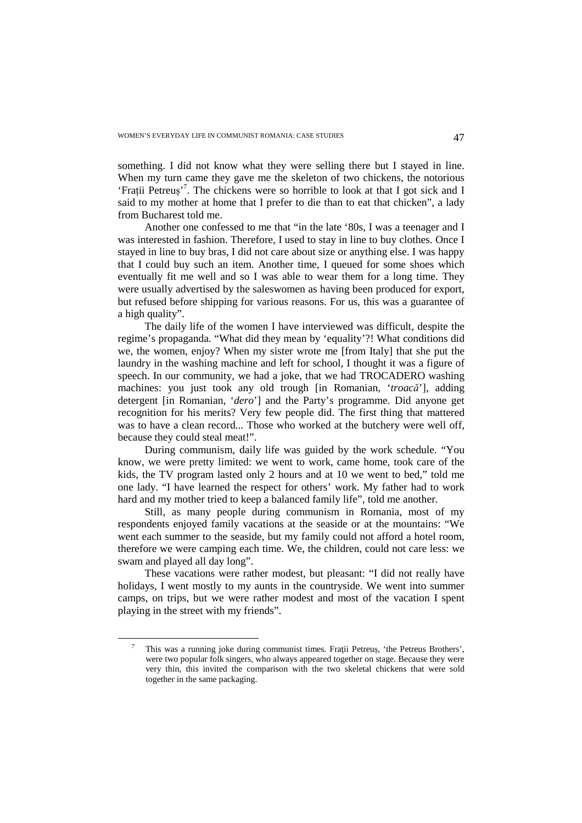something. I did not know what they were selling there but I stayed in line. When my turn came they gave me the skeleton of two chickens, the notorious 'Frații Petreuș'<sup>7</sup>. The chickens were so horrible to look at that I got sick and I said to my mother at home that I prefer to die than to eat that chicken", a lady from Bucharest told me.

Another one confessed to me that "in the late '80s, I was a teenager and I was interested in fashion. Therefore, I used to stay in line to buy clothes. Once I stayed in line to buy bras, I did not care about size or anything else. I was happy that I could buy such an item. Another time, I queued for some shoes which eventually fit me well and so I was able to wear them for a long time. They were usually advertised by the saleswomen as having been produced for export, but refused before shipping for various reasons. For us, this was a guarantee of a high quality".

The daily life of the women I have interviewed was difficult, despite the regime's propaganda. "What did they mean by 'equality'?! What conditions did we, the women, enjoy? When my sister wrote me [from Italy] that she put the laundry in the washing machine and left for school, I thought it was a figure of speech. In our community, we had a joke, that we had TROCADERO washing machines: you just took any old trough [in Romanian, '*troacă*'], adding detergent [in Romanian, '*dero*'] and the Party's programme. Did anyone get recognition for his merits? Very few people did. The first thing that mattered was to have a clean record... Those who worked at the butchery were well off, because they could steal meat!".

During communism, daily life was guided by the work schedule. "You know, we were pretty limited: we went to work, came home, took care of the kids, the TV program lasted only 2 hours and at 10 we went to bed," told me one lady. "I have learned the respect for others' work. My father had to work hard and my mother tried to keep a balanced family life", told me another.

Still, as many people during communism in Romania, most of my respondents enjoyed family vacations at the seaside or at the mountains: "We went each summer to the seaside, but my family could not afford a hotel room, therefore we were camping each time. We, the children, could not care less: we swam and played all day long".

These vacations were rather modest, but pleasant: "I did not really have holidays, I went mostly to my aunts in the countryside. We went into summer camps, on trips, but we were rather modest and most of the vacation I spent playing in the street with my friends".

l

<sup>7</sup> This was a running joke during communist times. Fraţii Petreuș, 'the Petreus Brothers', were two popular folk singers, who always appeared together on stage. Because they were very thin, this invited the comparison with the two skeletal chickens that were sold together in the same packaging.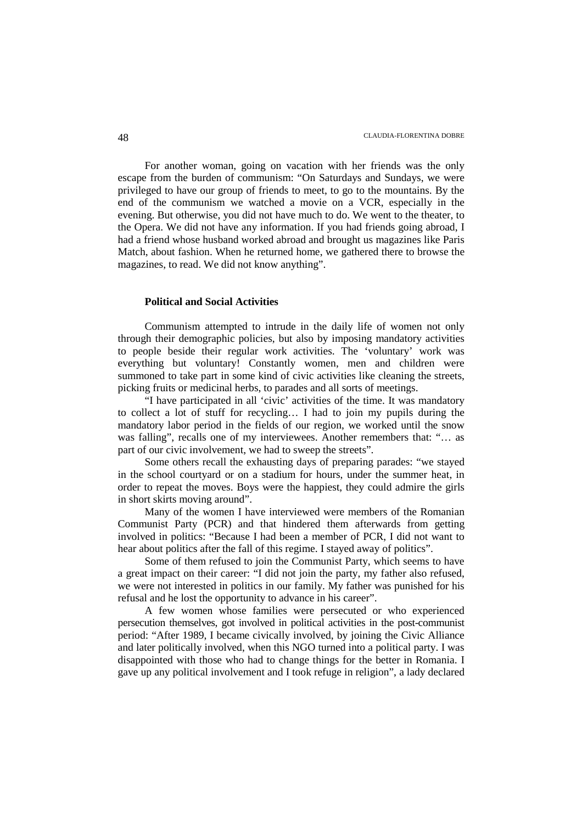For another woman, going on vacation with her friends was the only escape from the burden of communism: "On Saturdays and Sundays, we were privileged to have our group of friends to meet, to go to the mountains. By the end of the communism we watched a movie on a VCR, especially in the evening. But otherwise, you did not have much to do. We went to the theater, to the Opera. We did not have any information. If you had friends going abroad, I had a friend whose husband worked abroad and brought us magazines like Paris Match, about fashion. When he returned home, we gathered there to browse the magazines, to read. We did not know anything".

### **Political and Social Activities**

Communism attempted to intrude in the daily life of women not only through their demographic policies, but also by imposing mandatory activities to people beside their regular work activities. The 'voluntary' work was everything but voluntary! Constantly women, men and children were summoned to take part in some kind of civic activities like cleaning the streets, picking fruits or medicinal herbs, to parades and all sorts of meetings.

"I have participated in all 'civic' activities of the time. It was mandatory to collect a lot of stuff for recycling… I had to join my pupils during the mandatory labor period in the fields of our region, we worked until the snow was falling", recalls one of my interviewees. Another remembers that: "… as part of our civic involvement, we had to sweep the streets".

Some others recall the exhausting days of preparing parades: "we stayed in the school courtyard or on a stadium for hours, under the summer heat, in order to repeat the moves. Boys were the happiest, they could admire the girls in short skirts moving around".

Many of the women I have interviewed were members of the Romanian Communist Party (PCR) and that hindered them afterwards from getting involved in politics: "Because I had been a member of PCR, I did not want to hear about politics after the fall of this regime. I stayed away of politics".

Some of them refused to join the Communist Party, which seems to have a great impact on their career: "I did not join the party, my father also refused, we were not interested in politics in our family. My father was punished for his refusal and he lost the opportunity to advance in his career".

A few women whose families were persecuted or who experienced persecution themselves, got involved in political activities in the post-communist period: "After 1989, I became civically involved, by joining the Civic Alliance and later politically involved, when this NGO turned into a political party. I was disappointed with those who had to change things for the better in Romania. I gave up any political involvement and I took refuge in religion", a lady declared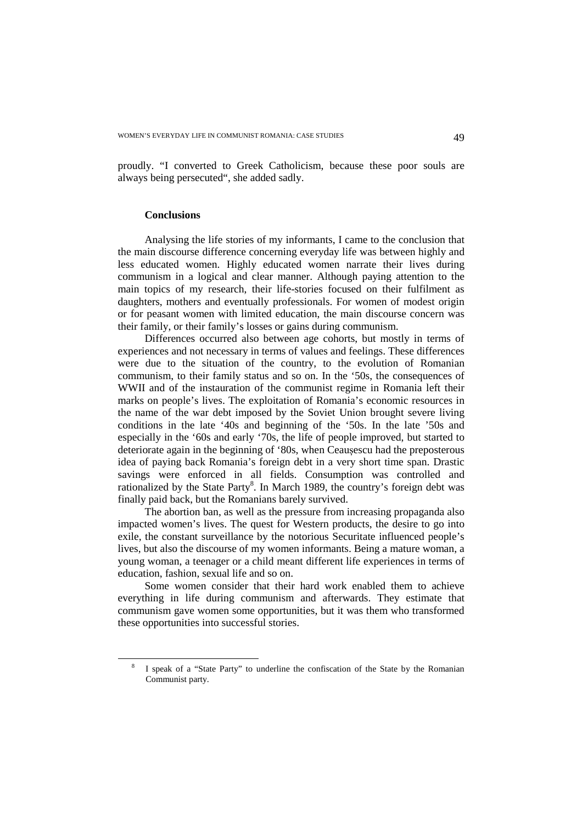proudly. "I converted to Greek Catholicism, because these poor souls are always being persecuted", she added sadly.

## **Conclusions**

l

Analysing the life stories of my informants, I came to the conclusion that the main discourse difference concerning everyday life was between highly and less educated women. Highly educated women narrate their lives during communism in a logical and clear manner. Although paying attention to the main topics of my research, their life-stories focused on their fulfilment as daughters, mothers and eventually professionals. For women of modest origin or for peasant women with limited education, the main discourse concern was their family, or their family's losses or gains during communism.

Differences occurred also between age cohorts, but mostly in terms of experiences and not necessary in terms of values and feelings. These differences were due to the situation of the country, to the evolution of Romanian communism, to their family status and so on. In the '50s, the consequences of WWII and of the instauration of the communist regime in Romania left their marks on people's lives. The exploitation of Romania's economic resources in the name of the war debt imposed by the Soviet Union brought severe living conditions in the late '40s and beginning of the '50s. In the late '50s and especially in the '60s and early '70s, the life of people improved, but started to deteriorate again in the beginning of '80s, when Ceaușescu had the preposterous idea of paying back Romania's foreign debt in a very short time span. Drastic savings were enforced in all fields. Consumption was controlled and rationalized by the State Party<sup>8</sup>. In March 1989, the country's foreign debt was finally paid back, but the Romanians barely survived.

The abortion ban, as well as the pressure from increasing propaganda also impacted women's lives. The quest for Western products, the desire to go into exile, the constant surveillance by the notorious Securitate influenced people's lives, but also the discourse of my women informants. Being a mature woman, a young woman, a teenager or a child meant different life experiences in terms of education, fashion, sexual life and so on.

Some women consider that their hard work enabled them to achieve everything in life during communism and afterwards. They estimate that communism gave women some opportunities, but it was them who transformed these opportunities into successful stories.

<sup>8</sup> I speak of a "State Party" to underline the confiscation of the State by the Romanian Communist party.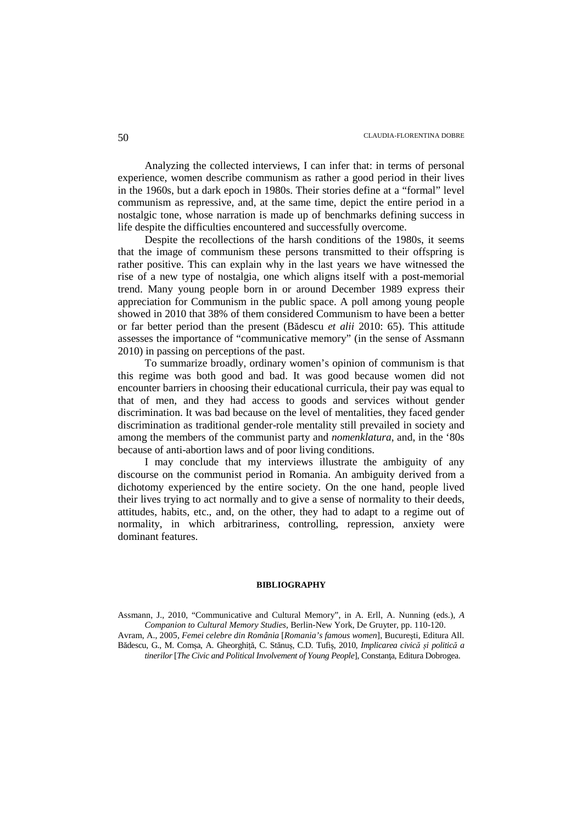Analyzing the collected interviews, I can infer that: in terms of personal experience, women describe communism as rather a good period in their lives in the 1960s, but a dark epoch in 1980s. Their stories define at a "formal" level communism as repressive, and, at the same time, depict the entire period in a nostalgic tone, whose narration is made up of benchmarks defining success in life despite the difficulties encountered and successfully overcome.

Despite the recollections of the harsh conditions of the 1980s, it seems that the image of communism these persons transmitted to their offspring is rather positive. This can explain why in the last years we have witnessed the rise of a new type of nostalgia, one which aligns itself with a post-memorial trend. Many young people born in or around December 1989 express their appreciation for Communism in the public space. A poll among young people showed in 2010 that 38% of them considered Communism to have been a better or far better period than the present (Bădescu *et alii* 2010: 65). This attitude assesses the importance of "communicative memory" (in the sense of Assmann 2010) in passing on perceptions of the past.

To summarize broadly, ordinary women's opinion of communism is that this regime was both good and bad. It was good because women did not encounter barriers in choosing their educational curricula, their pay was equal to that of men, and they had access to goods and services without gender discrimination. It was bad because on the level of mentalities, they faced gender discrimination as traditional gender-role mentality still prevailed in society and among the members of the communist party and *nomenklatura*, and, in the '80s because of anti-abortion laws and of poor living conditions.

I may conclude that my interviews illustrate the ambiguity of any discourse on the communist period in Romania. An ambiguity derived from a dichotomy experienced by the entire society. On the one hand, people lived their lives trying to act normally and to give a sense of normality to their deeds, attitudes, habits, etc., and, on the other, they had to adapt to a regime out of normality, in which arbitrariness, controlling, repression, anxiety were dominant features.

#### **BIBLIOGRAPHY**

Assmann, J., 2010, "Communicative and Cultural Memory", in A. Erll, A. Nunning (eds.), *A Companion to Cultural Memory Studies*, Berlin-New York, De Gruyter, pp. 110-120.

Avram, A., 2005, *Femei celebre din România* [*Romania's famous women*], Bucureşti, Editura All. Bădescu, G., M. Comșa, A. Gheorghiță, C. Stănuș, C.D. Tufiș, 2010, *Implicarea civică și politică a tinerilor* [*The Civic and Political Involvement of Young People*], Constanţa, Editura Dobrogea.